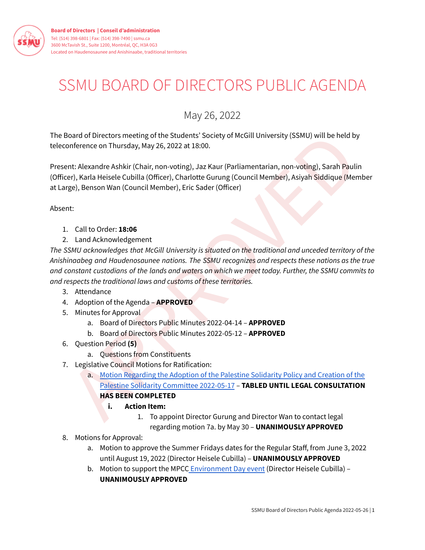

## SSMU BOARD OF DIRECTORS PUBLIC AGENDA

May 26, 2022

The Board of Directors meeting of the Students' Society of McGill University (SSMU) will be held by teleconference on Thursday, May 26, 2022 at 18:00.

Present: Alexandre Ashkir (Chair, non-voting), Jaz Kaur (Parliamentarian, non-voting), Sarah Paulin (Officer), Karla Heisele Cubilla (Officer), Charlotte Gurung (Council Member), Asiyah Siddique (Member at Large), Benson Wan (Council Member), Eric Sader (Officer)

Absent:

- 1. Call to Order: **18:06**
- 2. Land Acknowledgement

olourd of Directors meeting of the Students' Society of McGill University (SSMU) will be held by<br>
onference on Thursday, May 26, 2022 at 18:00.<br>
er), Karla Heisele Cubilla (Officer), Charlotte Gurung (Council Member), Asiy *The SSMU acknowledges that McGill University is situated on the traditional and unceded territory of the Anishinaabeg and Haudenosaunee nations. The SSMU recognizes and respects these nations as the true* and constant custodians of the lands and waters on which we meet today. Further, the SSMU commits to *and respects the traditional laws and customs of these territories.*

- 3. Attendance
- 4. Adoption of the Agenda **APPROVED**
- 5. Minutes for Approval
	- a. Board of Directors Public Minutes 2022-04-14 **APPROVED**
	- b. Board of Directors Public Minutes 2022-05-12 **APPROVED**
- 6. Question Period **(5)**
	- a. Questions from Constituents
- 7. Legislative Council Motions for Ratification:
	- a. Motion Regarding the Adoption of the Palestine Solidarity Policy and Creation of the Palestine Solidarity Committee 2022-05-17 – **TABLED UNTIL LEGAL CONSULTATION HAS BEEN COMPLETED**
		- **i. Action Item:**
			- 1. To appoint Director Gurung and Director Wan to contact legal regarding motion 7a. by May 30 – **UNANIMOUSLY APPROVED**
- 8. Motions for Approval:
	- a. Motion to approve the Summer Fridays dates for the Regular Staff, from June 3, 2022 until August 19, 2022 (Director Heisele Cubilla) – **UNANIMOUSLY APPROVED**
	- b. Motion to support the MPCC [Environment](https://docs.google.com/document/d/1Kx5NzFsPwDJXl0JT9Qf0Pqm3wblMJy4R03onATolzRA/edit?usp=sharing) Day event (Director Heisele Cubilla) -**UNANIMOUSLY APPROVED**